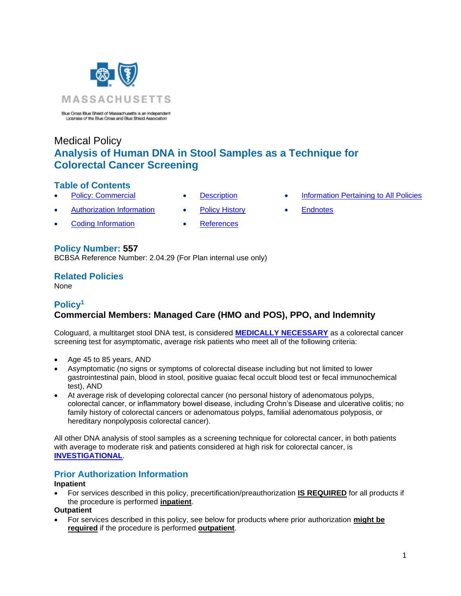

Blue Cross Blue Shield of Massachusetts is an Independent Licensee of the Blue Cross and Blue Shield Association

# Medical Policy **Analysis of Human DNA in Stool Samples as a Technique for Colorectal Cancer Screening**

### **Table of Contents**

- 
- [Authorization Information](#page-0-1) [Policy History](#page-2-1) [Endnotes](#page-4-0)
- **[Coding Information](#page-1-1) [References](#page-2-2)**
- 
- 
- 
- **Policy Number: 557**

BCBSA Reference Number: 2.04.29 (For Plan internal use only)

### **Related Policies**

None

# <span id="page-0-0"></span>**Policy<sup>1</sup> Commercial Members: Managed Care (HMO and POS), PPO, and Indemnity**

Cologuard, a multitarget stool DNA test, is considered **[MEDICALLY NECESSARY](https://www.bluecrossma.org/medical-policies/sites/g/files/csphws2091/files/acquiadam-assets/Definition%20of%20Med%20Nec%20Inv%20Not%20Med%20Nec%20prn.pdf#page=1)** as a colorectal cancer screening test for asymptomatic, average risk patients who meet all of the following criteria:

- Age 45 to 85 years, AND
- Asymptomatic (no signs or symptoms of colorectal disease including but not limited to lower gastrointestinal pain, blood in stool, positive guaiac fecal occult blood test or fecal immunochemical test), AND
- At average risk of developing colorectal cancer (no personal history of adenomatous polyps, colorectal cancer, or inflammatory bowel disease, including Crohn's Disease and ulcerative colitis; no family history of colorectal cancers or adenomatous polyps, familial adenomatous polyposis, or hereditary nonpolyposis colorectal cancer).

All other DNA analysis of stool samples as a screening technique for colorectal cancer, in both patients with average to moderate risk and patients considered at high risk for colorectal cancer, is **[INVESTIGATIONAL](https://www.bluecrossma.org/medical-policies/sites/g/files/csphws2091/files/acquiadam-assets/Definition%20of%20Med%20Nec%20Inv%20Not%20Med%20Nec%20prn.pdf#page=1)**.

# <span id="page-0-1"></span>**Prior Authorization Information**

#### **Inpatient**

• For services described in this policy, precertification/preauthorization **IS REQUIRED** for all products if the procedure is performed **inpatient**.

#### **Outpatient**

• For services described in this policy, see below for products where prior authorization **might be required** if the procedure is performed **outpatient**.

- [Policy: Commercial](#page-0-0) [Description](#page-1-0) [Information Pertaining to All Policies](#page-2-0)
	-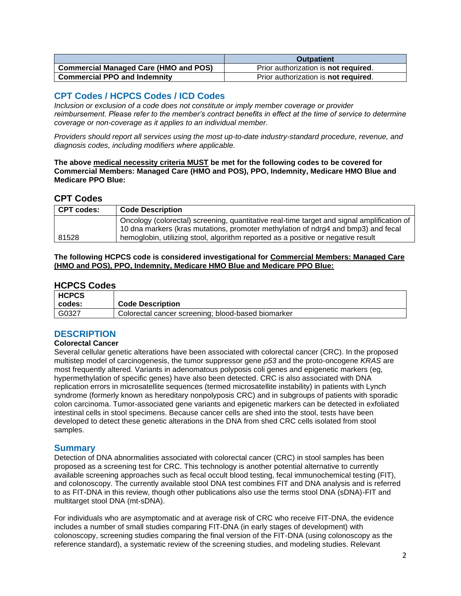|                                              | <b>Outpatient</b>                            |
|----------------------------------------------|----------------------------------------------|
| <b>Commercial Managed Care (HMO and POS)</b> | Prior authorization is <b>not required</b> . |
| <b>Commercial PPO and Indemnity</b>          | Prior authorization is not required.         |

### <span id="page-1-1"></span>**CPT Codes / HCPCS Codes / ICD Codes**

*Inclusion or exclusion of a code does not constitute or imply member coverage or provider reimbursement. Please refer to the member's contract benefits in effect at the time of service to determine coverage or non-coverage as it applies to an individual member.*

*Providers should report all services using the most up-to-date industry-standard procedure, revenue, and diagnosis codes, including modifiers where applicable.*

**The above medical necessity criteria MUST be met for the following codes to be covered for Commercial Members: Managed Care (HMO and POS), PPO, Indemnity, Medicare HMO Blue and Medicare PPO Blue:**

### **CPT Codes**

| <b>CPT codes:</b> | <b>Code Description</b>                                                                    |
|-------------------|--------------------------------------------------------------------------------------------|
|                   | Oncology (colorectal) screening, quantitative real-time target and signal amplification of |
|                   | 10 dna markers (kras mutations, promoter methylation of ndrg4 and bmp3) and fecal          |
| 81528             | hemoglobin, utilizing stool, algorithm reported as a positive or negative result           |

#### <span id="page-1-0"></span>**The following HCPCS code is considered investigational for Commercial Members: Managed Care (HMO and POS), PPO, Indemnity, Medicare HMO Blue and Medicare PPO Blue:**

### **HCPCS Codes**

| <b>HCPCS</b> |                                                    |
|--------------|----------------------------------------------------|
| codes:       | <b>Code Description</b>                            |
| G0327        | Colorectal cancer screening; blood-based biomarker |

# **DESCRIPTION**

#### **Colorectal Cancer**

Several cellular genetic alterations have been associated with colorectal cancer (CRC). In the proposed multistep model of carcinogenesis, the tumor suppressor gene *p53* and the proto-oncogene *KRAS* are most frequently altered. Variants in adenomatous polyposis coli genes and epigenetic markers (eg, hypermethylation of specific genes) have also been detected. CRC is also associated with DNA replication errors in microsatellite sequences (termed microsatellite instability) in patients with Lynch syndrome (formerly known as hereditary nonpolyposis CRC) and in subgroups of patients with sporadic colon carcinoma. Tumor-associated gene variants and epigenetic markers can be detected in exfoliated intestinal cells in stool specimens. Because cancer cells are shed into the stool, tests have been developed to detect these genetic alterations in the DNA from shed CRC cells isolated from stool samples.

#### **Summary**

Detection of DNA abnormalities associated with colorectal cancer (CRC) in stool samples has been proposed as a screening test for CRC. This technology is another potential alternative to currently available screening approaches such as fecal occult blood testing, fecal immunochemical testing (FIT), and colonoscopy. The currently available stool DNA test combines FIT and DNA analysis and is referred to as FIT-DNA in this review, though other publications also use the terms stool DNA (sDNA)-FIT and multitarget stool DNA (mt-sDNA).

For individuals who are asymptomatic and at average risk of CRC who receive FIT-DNA, the evidence includes a number of small studies comparing FIT-DNA (in early stages of development) with colonoscopy, screening studies comparing the final version of the FIT-DNA (using colonoscopy as the reference standard), a systematic review of the screening studies, and modeling studies. Relevant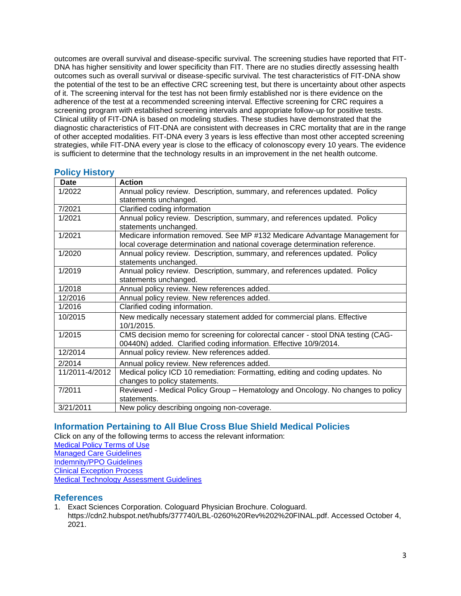outcomes are overall survival and disease-specific survival. The screening studies have reported that FIT-DNA has higher sensitivity and lower specificity than FIT. There are no studies directly assessing health outcomes such as overall survival or disease-specific survival. The test characteristics of FIT-DNA show the potential of the test to be an effective CRC screening test, but there is uncertainty about other aspects of it. The screening interval for the test has not been firmly established nor is there evidence on the adherence of the test at a recommended screening interval. Effective screening for CRC requires a screening program with established screening intervals and appropriate follow-up for positive tests. Clinical utility of FIT-DNA is based on modeling studies. These studies have demonstrated that the diagnostic characteristics of FIT-DNA are consistent with decreases in CRC mortality that are in the range of other accepted modalities. FIT-DNA every 3 years is less effective than most other accepted screening strategies, while FIT-DNA every year is close to the efficacy of colonoscopy every 10 years. The evidence is sufficient to determine that the technology results in an improvement in the net health outcome.

| Date           | <b>Action</b>                                                                   |
|----------------|---------------------------------------------------------------------------------|
| 1/2022         | Annual policy review. Description, summary, and references updated. Policy      |
|                | statements unchanged.                                                           |
| 7/2021         | Clarified coding information                                                    |
| 1/2021         | Annual policy review. Description, summary, and references updated. Policy      |
|                | statements unchanged.                                                           |
| 1/2021         | Medicare information removed. See MP #132 Medicare Advantage Management for     |
|                | local coverage determination and national coverage determination reference.     |
| 1/2020         | Annual policy review. Description, summary, and references updated. Policy      |
|                | statements unchanged.                                                           |
| 1/2019         | Annual policy review. Description, summary, and references updated. Policy      |
|                | statements unchanged.                                                           |
| 1/2018         | Annual policy review. New references added.                                     |
| 12/2016        | Annual policy review. New references added.                                     |
| 1/2016         | Clarified coding information.                                                   |
| 10/2015        | New medically necessary statement added for commercial plans. Effective         |
|                | 10/1/2015.                                                                      |
| 1/2015         | CMS decision memo for screening for colorectal cancer - stool DNA testing (CAG- |
|                | 00440N) added. Clarified coding information. Effective 10/9/2014.               |
| 12/2014        | Annual policy review. New references added.                                     |
| 2/2014         | Annual policy review. New references added.                                     |
| 11/2011-4/2012 | Medical policy ICD 10 remediation: Formatting, editing and coding updates. No   |
|                | changes to policy statements.                                                   |
| 7/2011         | Reviewed - Medical Policy Group - Hematology and Oncology. No changes to policy |
|                | statements.                                                                     |
| 3/21/2011      | New policy describing ongoing non-coverage.                                     |

### <span id="page-2-1"></span>**Policy History**

### <span id="page-2-0"></span>**Information Pertaining to All Blue Cross Blue Shield Medical Policies**

Click on any of the following terms to access the relevant information:

[Medical Policy Terms of Use](http://www.bluecrossma.org/medical-policies/sites/g/files/csphws2091/files/acquiadam-assets/Medical_Policy_Terms_of_Use_prn.pdf) [Managed Care Guidelines](http://www.bluecrossma.org/medical-policies/sites/g/files/csphws2091/files/acquiadam-assets/Managed_Care_Guidelines_prn.pdf)

[Indemnity/PPO Guidelines](http://www.bluecrossma.org/medical-policies/sites/g/files/csphws2091/files/acquiadam-assets/Indemnity_and_PPO_Guidelines_prn.pdf)

[Clinical Exception Process](http://www.bluecrossma.org/medical-policies/sites/g/files/csphws2091/files/acquiadam-assets/Clinical_Exception_Process_prn.pdf)

[Medical Technology Assessment Guidelines](http://www.bluecrossma.org/medical-policies/sites/g/files/csphws2091/files/acquiadam-assets/Medical_Technology_Assessment_Guidelines_prn.pdf)

#### <span id="page-2-2"></span>**References**

1. Exact Sciences Corporation. Cologuard Physician Brochure. Cologuard. https://cdn2.hubspot.net/hubfs/377740/LBL-0260%20Rev%202%20FINAL.pdf. Accessed October 4, 2021.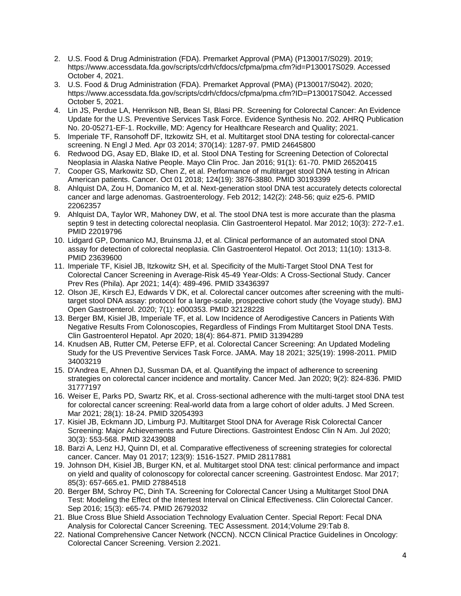- 2. U.S. Food & Drug Administration (FDA). Premarket Approval (PMA) (P130017/S029). 2019; https://www.accessdata.fda.gov/scripts/cdrh/cfdocs/cfpma/pma.cfm?id=P130017S029. Accessed October 4, 2021.
- 3. U.S. Food & Drug Administration (FDA). Premarket Approval (PMA) (P130017/S042). 2020; https://www.accessdata.fda.gov/scripts/cdrh/cfdocs/cfpma/pma.cfm?ID=P130017S042. Accessed October 5, 2021.
- 4. Lin JS, Perdue LA, Henrikson NB, Bean SI, Blasi PR. Screening for Colorectal Cancer: An Evidence Update for the U.S. Preventive Services Task Force. Evidence Synthesis No. 202. AHRQ Publication No. 20-05271-EF-1. Rockville, MD: Agency for Healthcare Research and Quality; 2021.
- 5. Imperiale TF, Ransohoff DF, Itzkowitz SH, et al. Multitarget stool DNA testing for colorectal-cancer screening. N Engl J Med. Apr 03 2014; 370(14): 1287-97. PMID 24645800
- 6. Redwood DG, Asay ED, Blake ID, et al. Stool DNA Testing for Screening Detection of Colorectal Neoplasia in Alaska Native People. Mayo Clin Proc. Jan 2016; 91(1): 61-70. PMID 26520415
- 7. Cooper GS, Markowitz SD, Chen Z, et al. Performance of multitarget stool DNA testing in African American patients. Cancer. Oct 01 2018; 124(19): 3876-3880. PMID 30193399
- 8. Ahlquist DA, Zou H, Domanico M, et al. Next-generation stool DNA test accurately detects colorectal cancer and large adenomas. Gastroenterology. Feb 2012; 142(2): 248-56; quiz e25-6. PMID 22062357
- 9. Ahlquist DA, Taylor WR, Mahoney DW, et al. The stool DNA test is more accurate than the plasma septin 9 test in detecting colorectal neoplasia. Clin Gastroenterol Hepatol. Mar 2012; 10(3): 272-7.e1. PMID 22019796
- 10. Lidgard GP, Domanico MJ, Bruinsma JJ, et al. Clinical performance of an automated stool DNA assay for detection of colorectal neoplasia. Clin Gastroenterol Hepatol. Oct 2013; 11(10): 1313-8. PMID 23639600
- 11. Imperiale TF, Kisiel JB, Itzkowitz SH, et al. Specificity of the Multi-Target Stool DNA Test for Colorectal Cancer Screening in Average-Risk 45-49 Year-Olds: A Cross-Sectional Study. Cancer Prev Res (Phila). Apr 2021; 14(4): 489-496. PMID 33436397
- 12. Olson JE, Kirsch EJ, Edwards V DK, et al. Colorectal cancer outcomes after screening with the multitarget stool DNA assay: protocol for a large-scale, prospective cohort study (the Voyage study). BMJ Open Gastroenterol. 2020; 7(1): e000353. PMID 32128228
- 13. Berger BM, Kisiel JB, Imperiale TF, et al. Low Incidence of Aerodigestive Cancers in Patients With Negative Results From Colonoscopies, Regardless of Findings From Multitarget Stool DNA Tests. Clin Gastroenterol Hepatol. Apr 2020; 18(4): 864-871. PMID 31394289
- 14. Knudsen AB, Rutter CM, Peterse EFP, et al. Colorectal Cancer Screening: An Updated Modeling Study for the US Preventive Services Task Force. JAMA. May 18 2021; 325(19): 1998-2011. PMID 34003219
- 15. D'Andrea E, Ahnen DJ, Sussman DA, et al. Quantifying the impact of adherence to screening strategies on colorectal cancer incidence and mortality. Cancer Med. Jan 2020; 9(2): 824-836. PMID 31777197
- 16. Weiser E, Parks PD, Swartz RK, et al. Cross-sectional adherence with the multi-target stool DNA test for colorectal cancer screening: Real-world data from a large cohort of older adults. J Med Screen. Mar 2021; 28(1): 18-24. PMID 32054393
- 17. Kisiel JB, Eckmann JD, Limburg PJ. Multitarget Stool DNA for Average Risk Colorectal Cancer Screening: Major Achievements and Future Directions. Gastrointest Endosc Clin N Am. Jul 2020; 30(3): 553-568. PMID 32439088
- 18. Barzi A, Lenz HJ, Quinn DI, et al. Comparative effectiveness of screening strategies for colorectal cancer. Cancer. May 01 2017; 123(9): 1516-1527. PMID 28117881
- 19. Johnson DH, Kisiel JB, Burger KN, et al. Multitarget stool DNA test: clinical performance and impact on yield and quality of colonoscopy for colorectal cancer screening. Gastrointest Endosc. Mar 2017; 85(3): 657-665.e1. PMID 27884518
- 20. Berger BM, Schroy PC, Dinh TA. Screening for Colorectal Cancer Using a Multitarget Stool DNA Test: Modeling the Effect of the Intertest Interval on Clinical Effectiveness. Clin Colorectal Cancer. Sep 2016; 15(3): e65-74. PMID 26792032
- 21. Blue Cross Blue Shield Association Technology Evaluation Center. Special Report: Fecal DNA Analysis for Colorectal Cancer Screening. TEC Assessment. 2014;Volume 29:Tab 8.
- 22. National Comprehensive Cancer Network (NCCN). NCCN Clinical Practice Guidelines in Oncology: Colorectal Cancer Screening. Version 2.2021.